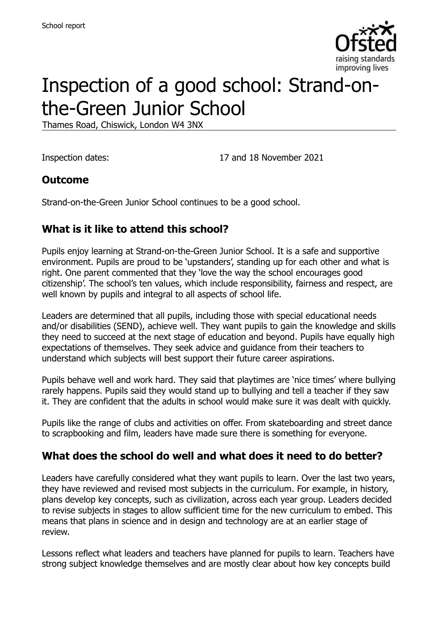

# Inspection of a good school: Strand-onthe-Green Junior School

Thames Road, Chiswick, London W4 3NX

Inspection dates: 17 and 18 November 2021

### **Outcome**

Strand-on-the-Green Junior School continues to be a good school.

# **What is it like to attend this school?**

Pupils enjoy learning at Strand-on-the-Green Junior School. It is a safe and supportive environment. Pupils are proud to be 'upstanders', standing up for each other and what is right. One parent commented that they 'love the way the school encourages good citizenship'. The school's ten values, which include responsibility, fairness and respect, are well known by pupils and integral to all aspects of school life.

Leaders are determined that all pupils, including those with special educational needs and/or disabilities (SEND), achieve well. They want pupils to gain the knowledge and skills they need to succeed at the next stage of education and beyond. Pupils have equally high expectations of themselves. They seek advice and guidance from their teachers to understand which subjects will best support their future career aspirations.

Pupils behave well and work hard. They said that playtimes are 'nice times' where bullying rarely happens. Pupils said they would stand up to bullying and tell a teacher if they saw it. They are confident that the adults in school would make sure it was dealt with quickly.

Pupils like the range of clubs and activities on offer. From skateboarding and street dance to scrapbooking and film, leaders have made sure there is something for everyone.

#### **What does the school do well and what does it need to do better?**

Leaders have carefully considered what they want pupils to learn. Over the last two years, they have reviewed and revised most subjects in the curriculum. For example, in history, plans develop key concepts, such as civilization, across each year group. Leaders decided to revise subjects in stages to allow sufficient time for the new curriculum to embed. This means that plans in science and in design and technology are at an earlier stage of review.

Lessons reflect what leaders and teachers have planned for pupils to learn. Teachers have strong subject knowledge themselves and are mostly clear about how key concepts build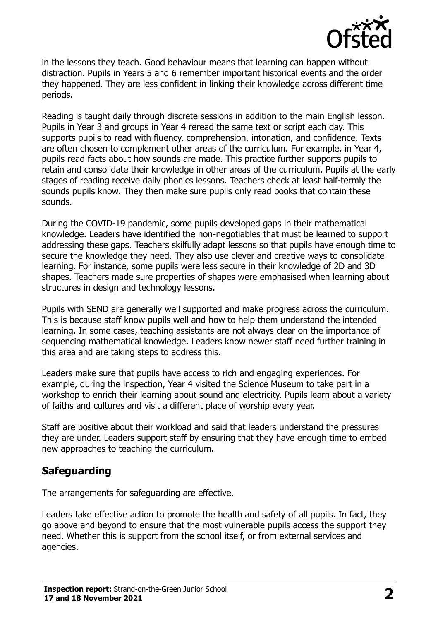

in the lessons they teach. Good behaviour means that learning can happen without distraction. Pupils in Years 5 and 6 remember important historical events and the order they happened. They are less confident in linking their knowledge across different time periods.

Reading is taught daily through discrete sessions in addition to the main English lesson. Pupils in Year 3 and groups in Year 4 reread the same text or script each day. This supports pupils to read with fluency, comprehension, intonation, and confidence. Texts are often chosen to complement other areas of the curriculum. For example, in Year 4, pupils read facts about how sounds are made. This practice further supports pupils to retain and consolidate their knowledge in other areas of the curriculum. Pupils at the early stages of reading receive daily phonics lessons. Teachers check at least half-termly the sounds pupils know. They then make sure pupils only read books that contain these sounds.

During the COVID-19 pandemic, some pupils developed gaps in their mathematical knowledge. Leaders have identified the non-negotiables that must be learned to support addressing these gaps. Teachers skilfully adapt lessons so that pupils have enough time to secure the knowledge they need. They also use clever and creative ways to consolidate learning. For instance, some pupils were less secure in their knowledge of 2D and 3D shapes. Teachers made sure properties of shapes were emphasised when learning about structures in design and technology lessons.

Pupils with SEND are generally well supported and make progress across the curriculum. This is because staff know pupils well and how to help them understand the intended learning. In some cases, teaching assistants are not always clear on the importance of sequencing mathematical knowledge. Leaders know newer staff need further training in this area and are taking steps to address this.

Leaders make sure that pupils have access to rich and engaging experiences. For example, during the inspection, Year 4 visited the Science Museum to take part in a workshop to enrich their learning about sound and electricity. Pupils learn about a variety of faiths and cultures and visit a different place of worship every year.

Staff are positive about their workload and said that leaders understand the pressures they are under. Leaders support staff by ensuring that they have enough time to embed new approaches to teaching the curriculum.

# **Safeguarding**

The arrangements for safeguarding are effective.

Leaders take effective action to promote the health and safety of all pupils. In fact, they go above and beyond to ensure that the most vulnerable pupils access the support they need. Whether this is support from the school itself, or from external services and agencies.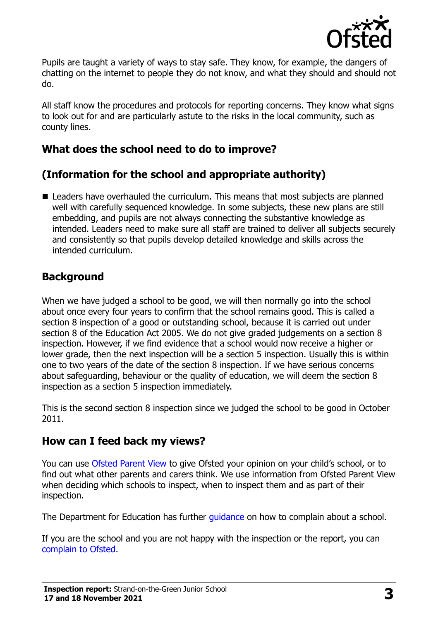

Pupils are taught a variety of ways to stay safe. They know, for example, the dangers of chatting on the internet to people they do not know, and what they should and should not do.

All staff know the procedures and protocols for reporting concerns. They know what signs to look out for and are particularly astute to the risks in the local community, such as county lines.

# **What does the school need to do to improve?**

# **(Information for the school and appropriate authority)**

■ Leaders have overhauled the curriculum. This means that most subjects are planned well with carefully sequenced knowledge. In some subjects, these new plans are still embedding, and pupils are not always connecting the substantive knowledge as intended. Leaders need to make sure all staff are trained to deliver all subjects securely and consistently so that pupils develop detailed knowledge and skills across the intended curriculum.

### **Background**

When we have judged a school to be good, we will then normally go into the school about once every four years to confirm that the school remains good. This is called a section 8 inspection of a good or outstanding school, because it is carried out under section 8 of the Education Act 2005. We do not give graded judgements on a section 8 inspection. However, if we find evidence that a school would now receive a higher or lower grade, then the next inspection will be a section 5 inspection. Usually this is within one to two years of the date of the section 8 inspection. If we have serious concerns about safeguarding, behaviour or the quality of education, we will deem the section 8 inspection as a section 5 inspection immediately.

This is the second section 8 inspection since we judged the school to be good in October 2011.

#### **How can I feed back my views?**

You can use [Ofsted Parent View](https://parentview.ofsted.gov.uk/) to give Ofsted your opinion on your child's school, or to find out what other parents and carers think. We use information from Ofsted Parent View when deciding which schools to inspect, when to inspect them and as part of their inspection.

The Department for Education has further quidance on how to complain about a school.

If you are the school and you are not happy with the inspection or the report, you can [complain to Ofsted.](https://www.gov.uk/complain-ofsted-report)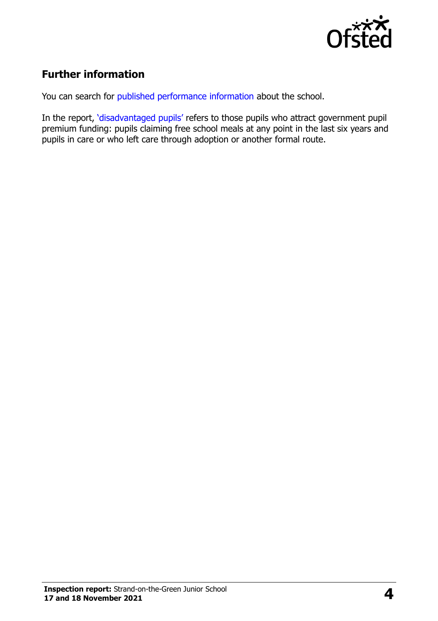

# **Further information**

You can search for [published performance information](http://www.compare-school-performance.service.gov.uk/) about the school.

In the report, '[disadvantaged pupils](http://www.gov.uk/guidance/pupil-premium-information-for-schools-and-alternative-provision-settings)' refers to those pupils who attract government pupil premium funding: pupils claiming free school meals at any point in the last six years and pupils in care or who left care through adoption or another formal route.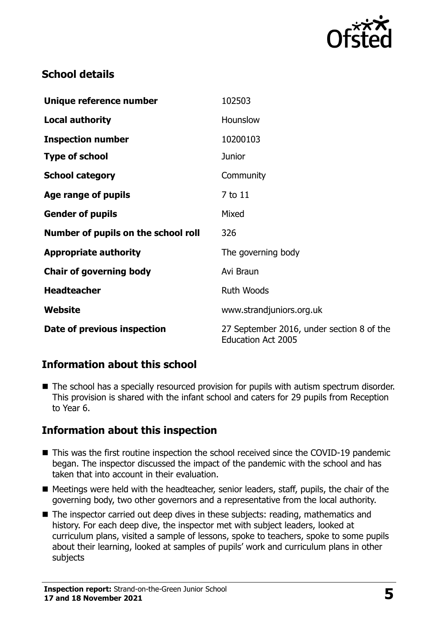

# **School details**

| Unique reference number             | 102503                                                                 |
|-------------------------------------|------------------------------------------------------------------------|
| <b>Local authority</b>              | Hounslow                                                               |
| <b>Inspection number</b>            | 10200103                                                               |
| <b>Type of school</b>               | <b>Junior</b>                                                          |
| <b>School category</b>              | Community                                                              |
| Age range of pupils                 | 7 to 11                                                                |
| <b>Gender of pupils</b>             | Mixed                                                                  |
| Number of pupils on the school roll | 326                                                                    |
| <b>Appropriate authority</b>        | The governing body                                                     |
| <b>Chair of governing body</b>      | Avi Braun                                                              |
| <b>Headteacher</b>                  | <b>Ruth Woods</b>                                                      |
| Website                             | www.strandjuniors.org.uk                                               |
| Date of previous inspection         | 27 September 2016, under section 8 of the<br><b>Education Act 2005</b> |

# **Information about this school**

■ The school has a specially resourced provision for pupils with autism spectrum disorder. This provision is shared with the infant school and caters for 29 pupils from Reception to Year 6.

# **Information about this inspection**

- This was the first routine inspection the school received since the COVID-19 pandemic began. The inspector discussed the impact of the pandemic with the school and has taken that into account in their evaluation.
- Meetings were held with the headteacher, senior leaders, staff, pupils, the chair of the governing body, two other governors and a representative from the local authority.
- The inspector carried out deep dives in these subjects: reading, mathematics and history. For each deep dive, the inspector met with subject leaders, looked at curriculum plans, visited a sample of lessons, spoke to teachers, spoke to some pupils about their learning, looked at samples of pupils' work and curriculum plans in other subjects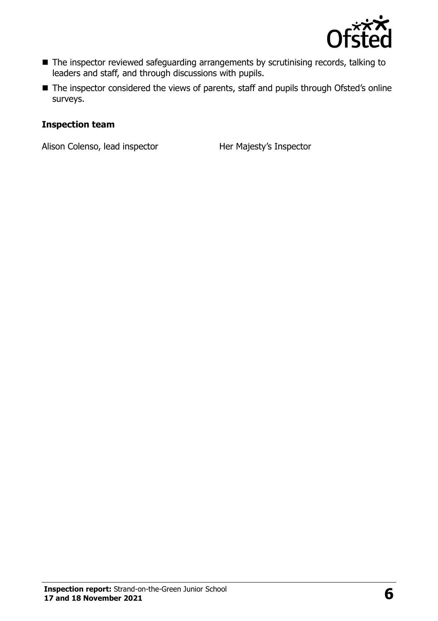

- The inspector reviewed safeguarding arrangements by scrutinising records, talking to leaders and staff, and through discussions with pupils.
- The inspector considered the views of parents, staff and pupils through Ofsted's online surveys.

#### **Inspection team**

Alison Colenso, lead inspector Her Majesty's Inspector